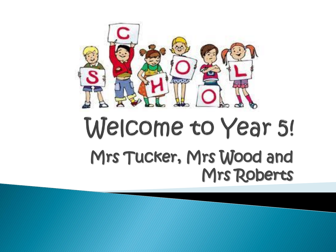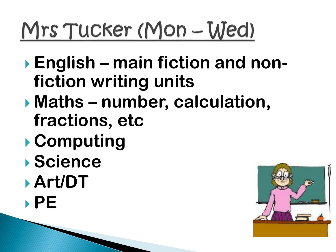# Mrs Tucker (Mon - Wed)

- **English – main fiction and nonfiction writing units**
- **Maths – number, calculation, fractions, etc**
- **Computing**
- **Science**
- **Art/DT**
- **PE**

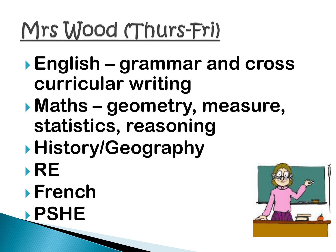# Mrs Wood (Thurs-Fri)

- **English – grammar and cross curricular writing**
- **Maths – geometry, measure, statistics, reasoning**
- **History/Geography**
- **RE**
- **French**
- **PSHE**

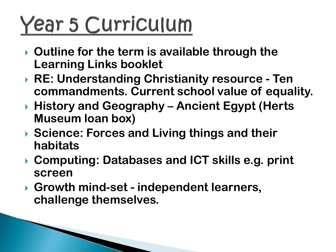# Year 5 Curriculum

- **Outline for the term is available through the Learning Links booklet**
- **RE: Understanding Christianity resource - Ten commandments. Current school value of equality.**
- **History and Geography – Ancient Egypt (Herts Museum loan box)**
- **▶ Science: Forces and Living things and their habitats**
- **Computing: Databases and ICT skills e.g. print screen**
- **Growth mind-set - independent learners, challenge themselves.**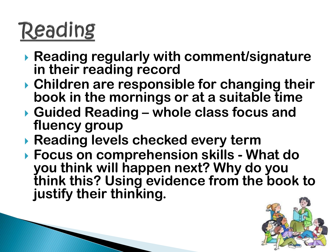### Reading

- **Reading regularly with comment/signature in their reading record**
- **Children are responsible for changing their book in the mornings or at a suitable time**
- **Guided Reading – whole class focus and fluency group**
- **Reading levels checked every term**
- **Focus on comprehension skills - What do you think will happen next? Why do you think this? Using evidence from the book to justify their thinking.**

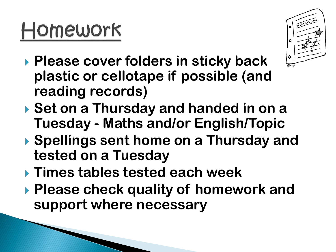# Homework



- **Please cover folders in sticky back plastic or cellotape if possible (and reading records)**
- **Set on a Thursday and handed in on a Tuesday - Maths and/or English/Topic**
- **Spellings sent home on a Thursday and tested on a Tuesday**
- **Times tables tested each week**
- **Please check quality of homework and support where necessary**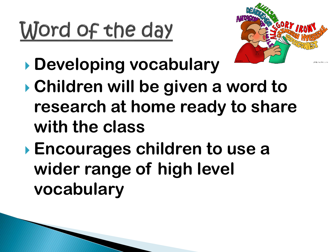# Word of the day



- **Developing vocabulary**
- **Children will be given a word to research at home ready to share with the class**
- **Encourages children to use a wider range of high level vocabulary**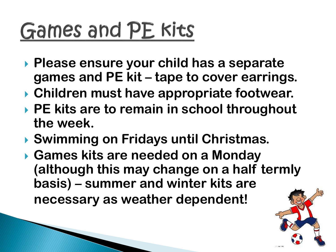### Games and PE kits

- **Please ensure your child has a separate games and PE kit – tape to cover earrings.**
- **Children must have appropriate footwear.**
- **PE kits are to remain in school throughout the week.**
- **Swimming on Fridays until Christmas.**
- **Games kits are needed on a Monday (although this may change on a half termly basis) – summer and winter kits are necessary as weather dependent!**

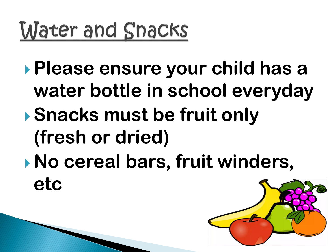#### Water and Snacks

- **Please ensure your child has a water bottle in school everyday**
- **Snacks must be fruit only (fresh or dried)**
- **No cereal bars, fruit winders, etc**

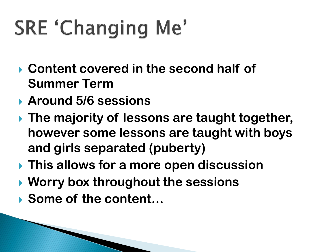### **SRE 'Changing Me'**

- **Content covered in the second half of Summer Term**
- **Around 5/6 sessions**
- **The majority of lessons are taught together, however some lessons are taught with boys and girls separated (puberty)**
- **This allows for a more open discussion**
- **Worry box throughout the sessions**
- **Some of the content…**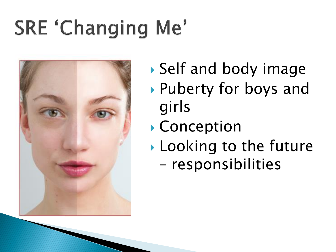#### **SRE 'Changing Me'**



- Self and body image Puberty for boys and girls
- ▶ Conception
- **Looking to the future** 
	- responsibilities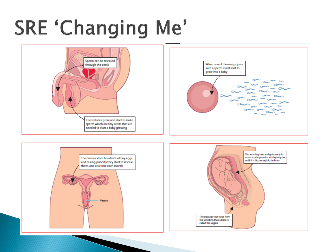#### **SRE 'Changing Me'**